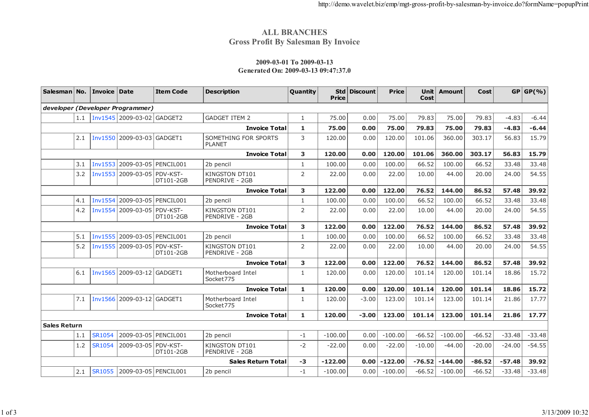## **ALL BRANCHESGross Profit By Salesman By Invoice**

## **2009-03-01 To 2009-03-13Generated On: 2009-03-13 09:47:37.0**

| Salesman   No.            |     | Invoice Date   |                                  | <b>Item Code</b> | <b>Description</b>                      | Quantity       | <b>Std</b><br>Price | <b>Discount</b> | <b>Price</b> | Unit<br>Cost | <b>Amount</b> | <b>Cost</b> |          | GP   GP( %) |
|---------------------------|-----|----------------|----------------------------------|------------------|-----------------------------------------|----------------|---------------------|-----------------|--------------|--------------|---------------|-------------|----------|-------------|
|                           |     |                | developer (Developer Programmer) |                  |                                         |                |                     |                 |              |              |               |             |          |             |
|                           | 1.1 |                | Inv1545 2009-03-02 GADGET2       |                  | <b>GADGET ITEM 2</b>                    | $\mathbf{1}$   | 75.00               | 0.00            | 75.00        | 79.83        | 75.00         | 79.83       | $-4.83$  | $-6.44$     |
|                           |     |                |                                  |                  | <b>Invoice Total</b>                    | $\mathbf{1}$   | 75.00               | 0.00            | 75.00        | 79.83        | 75.00         | 79.83       | $-4.83$  | $-6.44$     |
|                           | 2.1 | <b>Inv1550</b> | 2009-03-03 GADGET1               |                  | SOMETHING FOR SPORTS<br><b>PLANET</b>   | 3              | 120.00              | 0.00            | 120.00       | 101.06       | 360.00        | 303.17      | 56.83    | 15.79       |
| <b>Invoice Total</b>      |     |                |                                  |                  | 3                                       | 120.00         | 0.00                | 120.00          | 101.06       | 360.00       | 303.17        | 56.83       | 15.79    |             |
|                           | 3.1 | <b>Inv1553</b> | 2009-03-05 PENCIL001             |                  | 2b pencil                               | $\mathbf{1}$   | 100.00              | 0.00            | 100.00       | 66.52        | 100.00        | 66.52       | 33.48    | 33.48       |
|                           | 3.2 | Inv1553        | 2009-03-05 PDV-KST-              | DT101-2GB        | KINGSTON DT101<br>PENDRIVE - 2GB        | 2              | 22.00               | 0.00            | 22.00        | 10.00        | 44.00         | 20.00       | 24.00    | 54.55       |
|                           |     |                |                                  |                  | <b>Invoice Total</b>                    | 3              | 122.00              | 0.00            | 122.00       | 76.52        | 144.00        | 86.52       | 57.48    | 39.92       |
|                           | 4.1 | <b>Inv1554</b> | 2009-03-05 PENCIL001             |                  | 2b pencil                               | $\mathbf{1}$   | 100.00              | 0.00            | 100.00       | 66.52        | 100.00        | 66.52       | 33.48    | 33.48       |
|                           | 4.2 | <b>Inv1554</b> | 2009-03-05 PDV-KST-              | DT101-2GB        | KINGSTON DT101<br><b>PENDRIVE - 2GB</b> | $\overline{2}$ | 22.00               | 0.00            | 22.00        | 10.00        | 44.00         | 20.00       | 24.00    | 54.55       |
| <b>Invoice Total</b>      |     |                |                                  |                  | 3                                       | 122.00         | 0.00                | 122.00          | 76.52        | 144.00       | 86.52         | 57.48       | 39.92    |             |
|                           | 5.1 | <b>Inv1555</b> | 2009-03-05 PENCIL001             |                  | 2b pencil                               | $\mathbf{1}$   | 100.00              | 0.00            | 100.00       | 66.52        | 100.00        | 66.52       | 33.48    | 33.48       |
|                           | 5.2 | <b>Inv1555</b> | 2009-03-05 PDV-KST-              | DT101-2GB        | KINGSTON DT101<br><b>PENDRIVE - 2GB</b> | 2              | 22.00               | 0.00            | 22.00        | 10.00        | 44.00         | 20.00       | 24.00    | 54.55       |
|                           |     |                |                                  |                  | <b>Invoice Total</b>                    | 3              | 122.00              | 0.00            | 122.00       | 76.52        | 144.00        | 86.52       | 57.48    | 39.92       |
|                           | 6.1 | <b>Inv1565</b> | 2009-03-12 GADGET1               |                  | Motherboard Intel<br>Socket775          | $\mathbf{1}$   | 120.00              | 0.00            | 120.00       | 101.14       | 120.00        | 101.14      | 18.86    | 15.72       |
| <b>Invoice Total</b>      |     |                |                                  |                  | $\mathbf{1}$                            | 120.00         | 0.00                | 120.00          | 101.14       | 120.00       | 101.14        | 18.86       | 15.72    |             |
|                           | 7.1 | <b>Inv1566</b> | 2009-03-12 GADGET1               |                  | Motherboard Intel<br>Socket775          | $\mathbf{1}$   | 120.00              | $-3.00$         | 123.00       | 101.14       | 123.00        | 101.14      | 21.86    | 17.77       |
|                           |     |                |                                  |                  | <b>Invoice Total</b>                    | $\mathbf{1}$   | 120.00              | $-3.00$         | 123.00       | 101.14       | 123.00        | 101.14      | 21.86    | 17.77       |
| <b>Sales Return</b>       |     |                |                                  |                  |                                         |                |                     |                 |              |              |               |             |          |             |
|                           | 1.1 | SR1054         | 2009-03-05 PENCIL001             |                  | 2b pencil                               | $-1$           | $-100.00$           | 0.00            | $-100.00$    | $-66.52$     | $-100.00$     | $-66.52$    | $-33.48$ | $-33.48$    |
|                           | 1.2 | SR1054         | 2009-03-05 PDV-KST-              | DT101-2GB        | KINGSTON DT101<br>PENDRIVE - 2GB        | $-2$           | $-22.00$            | 0.00            | $-22.00$     | $-10.00$     | $-44.00$      | $-20.00$    | $-24.00$ | $-54.55$    |
| <b>Sales Return Total</b> |     |                |                                  |                  | $-3$                                    | $-122.00$      | 0.00                | $-122.00$       | $-76.52$     | $-144.00$    | $-86.52$      | $-57.48$    | 39.92    |             |
|                           | 2.1 | <b>SR1055</b>  | 2009-03-05 PENCIL001             |                  | 2b pencil                               | $-1$           | $-100.00$           | 0.00            | $-100.00$    | $-66.52$     | $-100.00$     | $-66.52$    | $-33.48$ | $-33.48$    |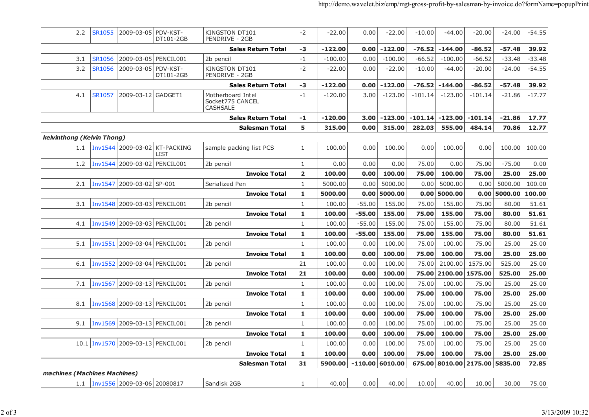|                              | 2.2 | <b>SR1055</b> | 2009-03-05 PDV-KST-               | DT101-2GB                                    | KINGSTON DT101<br>PENDRIVE - 2GB                         | $-2$                    | $-22.00$  | 0.00              | $-22.00$  | $-10.00$  | $-44.00$  | -20.00          | -24.00   | $-54.55$ |
|------------------------------|-----|---------------|-----------------------------------|----------------------------------------------|----------------------------------------------------------|-------------------------|-----------|-------------------|-----------|-----------|-----------|-----------------|----------|----------|
|                              |     |               |                                   |                                              | <b>Sales Return Total</b>                                | -3                      | $-122.00$ | 0.00              | $-122.00$ | $-76.52$  | $-144.00$ | $-86.52$        | $-57.48$ | 39.92    |
|                              | 3.1 | <b>SR1056</b> | 2009-03-05                        | PENCIL001                                    | 2b pencil                                                | $-1$                    | $-100.00$ | 0.00              | $-100.00$ | $-66.52$  | $-100.00$ | $-66.52$        | $-33.48$ | $-33.48$ |
|                              | 3.2 | <b>SR1056</b> | 2009-03-05                        | PDV-KST-<br>DT101-2GB                        | KINGSTON DT101<br>PENDRIVE - 2GB                         | $-2$                    | $-22.00$  | 0.00              | $-22.00$  | $-10.00$  | $-44.00$  | $-20.00$        | $-24.00$ | $-54.55$ |
|                              |     |               |                                   |                                              | <b>Sales Return Total</b>                                | -3                      | $-122.00$ | 0.00              | $-122.00$ | $-76.52$  | $-144.00$ | $-86.52$        | $-57.48$ | 39.92    |
|                              | 4.1 | SR1057        | 2009-03-12 GADGET1                |                                              | Motherboard Intel<br>Socket775 CANCEL<br><b>CASHSALE</b> | $-1$                    | $-120.00$ | 3.00              | $-123.00$ | $-101.14$ | $-123.00$ | $-101.14$       | $-21.86$ | $-17.77$ |
|                              |     |               |                                   |                                              | <b>Sales Return Total</b>                                | $-1$                    | $-120.00$ | 3.00              | $-123.00$ | $-101.14$ | $-123.00$ | $-101.14$       | $-21.86$ | 17.77    |
|                              |     |               |                                   |                                              | Salesman Total                                           | 5                       | 315.00    | 0.00              | 315.00    | 282.03    | 555.00    | 484.14          | 70.86    | 12.77    |
| kelvinthong (Kelvin Thong)   |     |               |                                   |                                              |                                                          |                         |           |                   |           |           |           |                 |          |          |
|                              | 1.1 |               |                                   | Inv1544 2009-03-02 KT-PACKING<br><b>LIST</b> | sample packing list PCS                                  | $\mathbf{1}$            | 100.00    | 0.00              | 100.00    | 0.00      | 100.00    | 0.00            | 100.00   | 100.00   |
|                              | 1.2 |               | Inv1544 2009-03-02 PENCIL001      |                                              | 2b pencil                                                | 1                       | 0.00      | 0.00              | 0.00      | 75.00     | 0.00      | 75.00           | $-75.00$ | 0.00     |
|                              |     |               |                                   |                                              | <b>Invoice Total</b>                                     | $\overline{\mathbf{2}}$ | 100.00    | 0.00              | 100.00    | 75.00     | 100.00    | 75.00           | 25.00    | 25.00    |
|                              | 2.1 |               | Inv1547 2009-03-02 SP-001         |                                              | Serialized Pen                                           | $\mathbf{1}$            | 5000.00   | 0.00              | 5000.00   | 0.00      | 5000.00   | 0.00            | 5000.00  | 100.00   |
|                              |     |               |                                   |                                              | <b>Invoice Total</b>                                     | $\mathbf{1}$            | 5000.00   | 0.00              | 5000.00   | 0.00      | 5000.00   | 0.00            | 5000.00  | 100.00   |
|                              | 3.1 |               | Inv1548 2009-03-03 PENCIL001      |                                              | 2b pencil                                                | 1                       | 100.00    | $-55.00$          | 155.00    | 75.00     | 155.00    | 75.00           | 80.00    | 51.61    |
|                              |     |               |                                   |                                              | <b>Invoice Total</b>                                     | $\mathbf{1}$            | 100.00    | $-55.00$          | 155.00    | 75.00     | 155.00    | 75.00           | 80.00    | 51.61    |
|                              | 4.1 |               | Inv1549 2009-03-03 PENCIL001      |                                              | 2b pencil                                                | 1                       | 100.00    | $-55.00$          | 155.00    | 75.00     | 155.00    | 75.00           | 80.00    | 51.61    |
|                              |     |               |                                   |                                              | <b>Invoice Total</b>                                     | 1                       | 100.00    | $-55.00$          | 155.00    | 75.00     | 155.00    | 75.00           | 80.00    | 51.61    |
|                              | 5.1 |               | Inv1551 2009-03-04 PENCIL001      |                                              | 2b pencil                                                | $\mathbf{1}$            | 100.00    | 0.00              | 100.00    | 75.00     | 100.00    | 75.00           | 25.00    | 25.00    |
|                              |     |               |                                   |                                              | <b>Invoice Total</b>                                     | 1                       | 100.00    | 0.00              | 100.00    | 75.00     | 100.00    | 75.00           | 25.00    | 25.00    |
|                              | 6.1 |               | Inv1552 2009-03-04 PENCIL001      |                                              | 2b pencil                                                | 21                      | 100.00    | 0.00              | 100.00    | 75.00     | 2100.00   | 1575.00         | 525.00   | 25.00    |
|                              |     |               |                                   |                                              | <b>Invoice Total</b>                                     | 21                      | 100.00    | 0.00              | 100.00    | 75.00     | 2100.00   | 1575.00         | 525.00   | 25.00    |
|                              | 7.1 |               | Inv1567 2009-03-13 PENCIL001      |                                              | 2b pencil                                                | $\mathbf{1}$            | 100.00    | 0.00              | 100.00    | 75.00     | 100.00    | 75.00           | 25.00    | 25.00    |
|                              |     |               |                                   |                                              | <b>Invoice Total</b>                                     | 1                       | 100.00    | 0.00              | 100.00    | 75.00     | 100.00    | 75.00           | 25.00    | 25.00    |
|                              | 8.1 |               | Inv1568 2009-03-13 PENCIL001      |                                              | 2b pencil                                                | $\mathbf{1}$            | 100.00    | 0.00              | 100.00    | 75.00     | 100.00    | 75.00           | 25.00    | 25.00    |
|                              |     |               |                                   |                                              | <b>Invoice Total</b>                                     | 1                       | 100.00    | 0.00              | 100.00    | 75.00     | 100.00    | 75.00           | 25.00    | 25.00    |
|                              | 9.1 |               | Inv1569 2009-03-13 PENCIL001      |                                              | 2b pencil                                                | 1                       | 100.00    | 0.00              | 100.00    | 75.00     | 100.00    | 75.00           | 25.00    | 25.00    |
|                              |     |               |                                   |                                              | <b>Invoice Total</b>                                     | $\mathbf{1}$            | 100.00    | 0.00              | 100.00    | 75.00     | 100.00    | 75.00           | 25.00    | 25.00    |
|                              |     |               | 10.1 Inv1570 2009-03-13 PENCIL001 |                                              | 2b pencil                                                | $\mathbf{1}$            | 100.00    | 0.00              | 100.00    | 75.00     | 100.00    | 75.00           | 25.00    | 25.00    |
|                              |     |               |                                   |                                              | <b>Invoice Total</b>                                     | 1                       | 100.00    | 0.00              | 100.00    | 75.00     | 100.00    | 75.00           | 25.00    | 25.00    |
|                              |     |               |                                   |                                              | <b>Salesman Total</b>                                    | 31                      | 5900.00   | $-110.00$ 6010.00 |           | 675.00    | 8010.00   | 2175.00 5835.00 |          | 72.85    |
| machines (Machines Machines) |     |               |                                   |                                              |                                                          |                         |           |                   |           |           |           |                 |          |          |
|                              | 1.1 |               | Inv1556 2009-03-06 20080817       |                                              | Sandisk 2GB                                              | $\mathbf{1}$            | 40.00     | 0.00              | 40.00     | 10.00     | 40.00     | 10.00           | 30.00    | 75.00    |